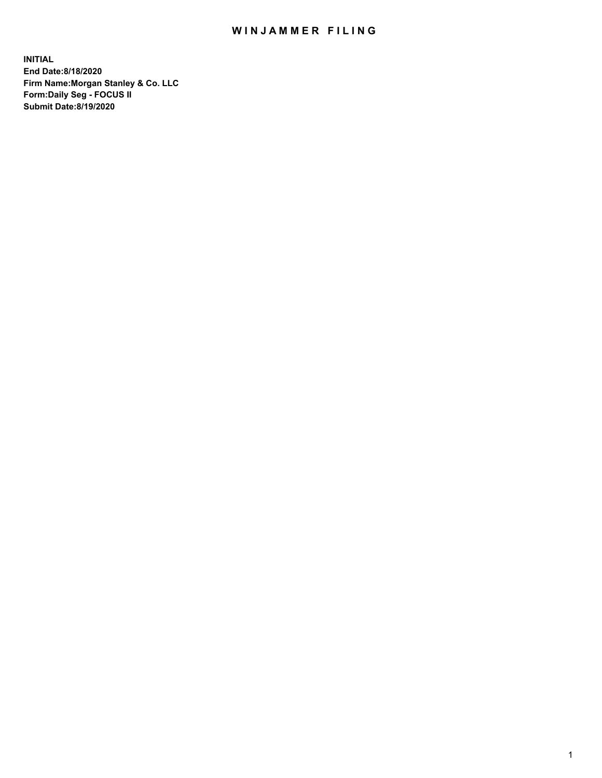## WIN JAMMER FILING

**INITIAL End Date:8/18/2020 Firm Name:Morgan Stanley & Co. LLC Form:Daily Seg - FOCUS II Submit Date:8/19/2020**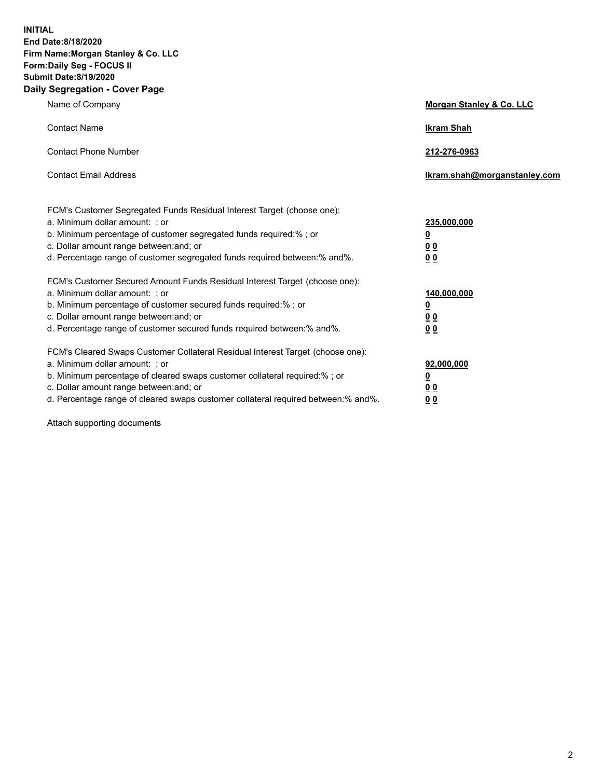**INITIAL End Date:8/18/2020 Firm Name:Morgan Stanley & Co. LLC Form:Daily Seg - FOCUS II Submit Date:8/19/2020 Daily Segregation - Cover Page**

| Name of Company                                                                                                                                                                                                                                                                                                               | Morgan Stanley & Co. LLC                               |
|-------------------------------------------------------------------------------------------------------------------------------------------------------------------------------------------------------------------------------------------------------------------------------------------------------------------------------|--------------------------------------------------------|
| <b>Contact Name</b>                                                                                                                                                                                                                                                                                                           | <b>Ikram Shah</b>                                      |
| <b>Contact Phone Number</b>                                                                                                                                                                                                                                                                                                   | 212-276-0963                                           |
| <b>Contact Email Address</b>                                                                                                                                                                                                                                                                                                  | Ikram.shah@morganstanley.com                           |
| FCM's Customer Segregated Funds Residual Interest Target (choose one):<br>a. Minimum dollar amount: ; or<br>b. Minimum percentage of customer segregated funds required:% ; or<br>c. Dollar amount range between: and; or<br>d. Percentage range of customer segregated funds required between:% and%.                        | 235,000,000<br><u>0</u><br><u>00</u><br>0 <sup>0</sup> |
| FCM's Customer Secured Amount Funds Residual Interest Target (choose one):<br>a. Minimum dollar amount: ; or<br>b. Minimum percentage of customer secured funds required:%; or<br>c. Dollar amount range between: and; or<br>d. Percentage range of customer secured funds required between:% and%.                           | 140,000,000<br><u>0</u><br><u>00</u><br>0 <sub>0</sub> |
| FCM's Cleared Swaps Customer Collateral Residual Interest Target (choose one):<br>a. Minimum dollar amount: ; or<br>b. Minimum percentage of cleared swaps customer collateral required:%; or<br>c. Dollar amount range between: and; or<br>d. Percentage range of cleared swaps customer collateral required between:% and%. | 92,000,000<br><u>0</u><br>0 Q<br>00                    |

Attach supporting documents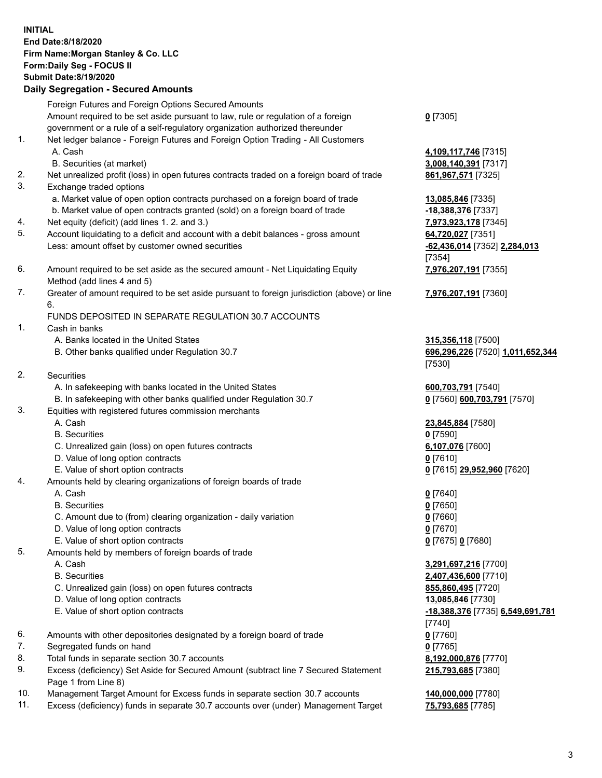## **INITIAL End Date:8/18/2020 Firm Name:Morgan Stanley & Co. LLC Form:Daily Seg - FOCUS II Submit Date:8/19/2020 Daily Segregation - Secured Amounts** Foreign Futures and Foreign Options Secured Amounts Amount required to be set aside pursuant to law, rule or regulation of a foreign government or a rule of a self-regulatory organization authorized thereunder **0** [7305] 1. Net ledger balance - Foreign Futures and Foreign Option Trading - All Customers A. Cash **4,109,117,746** [7315] B. Securities (at market) **3,008,140,391** [7317] 2. Net unrealized profit (loss) in open futures contracts traded on a foreign board of trade **861,967,571** [7325] 3. Exchange traded options a. Market value of open option contracts purchased on a foreign board of trade **13,085,846** [7335] b. Market value of open contracts granted (sold) on a foreign board of trade **-18,388,376** [7337] 4. Net equity (deficit) (add lines 1. 2. and 3.) **7,973,923,178** [7345] 5. Account liquidating to a deficit and account with a debit balances - gross amount **64,720,027** [7351] Less: amount offset by customer owned securities **-62,436,014** [7352] **2,284,013** [7354] 6. Amount required to be set aside as the secured amount - Net Liquidating Equity Method (add lines 4 and 5) **7,976,207,191** [7355] 7. Greater of amount required to be set aside pursuant to foreign jurisdiction (above) or line 6. **7,976,207,191** [7360] FUNDS DEPOSITED IN SEPARATE REGULATION 30.7 ACCOUNTS 1. Cash in banks A. Banks located in the United States **315,356,118** [7500] B. Other banks qualified under Regulation 30.7 **696,296,226** [7520] **1,011,652,344** [7530] 2. Securities A. In safekeeping with banks located in the United States **600,703,791** [7540] B. In safekeeping with other banks qualified under Regulation 30.7 **0** [7560] **600,703,791** [7570] 3. Equities with registered futures commission merchants A. Cash **23,845,884** [7580] B. Securities **0** [7590] C. Unrealized gain (loss) on open futures contracts **6,107,076** [7600] D. Value of long option contracts **0** [7610] E. Value of short option contracts **0** [7615] **29,952,960** [7620] 4. Amounts held by clearing organizations of foreign boards of trade A. Cash **0** [7640] B. Securities **0** [7650] C. Amount due to (from) clearing organization - daily variation **0** [7660] D. Value of long option contracts **0** [7670] E. Value of short option contracts **0** [7675] **0** [7680] 5. Amounts held by members of foreign boards of trade A. Cash **3,291,697,216** [7700] B. Securities **2,407,436,600** [7710] C. Unrealized gain (loss) on open futures contracts **855,860,495** [7720] D. Value of long option contracts **13,085,846** [7730] E. Value of short option contracts **-18,388,376** [7735] **6,549,691,781** [7740] 6. Amounts with other depositories designated by a foreign board of trade **0** [7760] 7. Segregated funds on hand **0** [7765] 8. Total funds in separate section 30.7 accounts **8,192,000,876** [7770] 9. Excess (deficiency) Set Aside for Secured Amount (subtract line 7 Secured Statement **215,793,685** [7380]

10. Management Target Amount for Excess funds in separate section 30.7 accounts **140,000,000** [7780]

Page 1 from Line 8)

11. Excess (deficiency) funds in separate 30.7 accounts over (under) Management Target **75,793,685** [7785]

3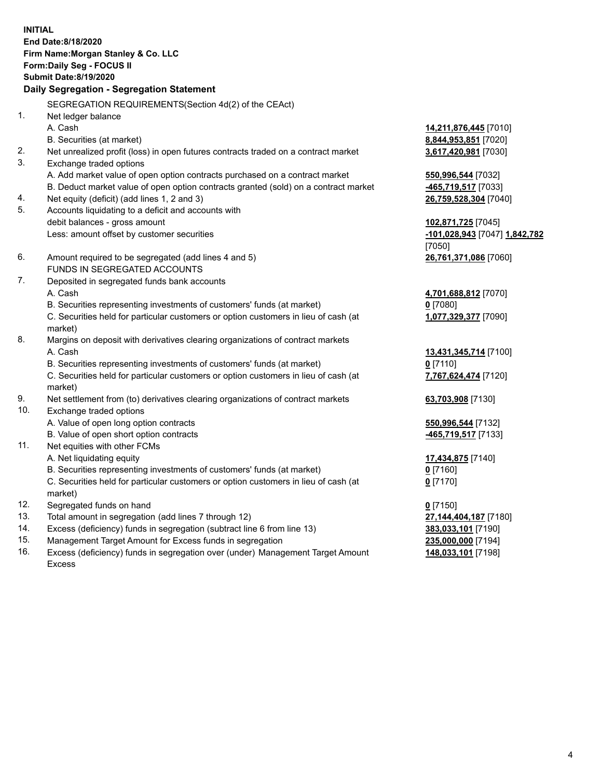**INITIAL End Date:8/18/2020 Firm Name:Morgan Stanley & Co. LLC Form:Daily Seg - FOCUS II Submit Date:8/19/2020 Daily Segregation - Segregation Statement** SEGREGATION REQUIREMENTS(Section 4d(2) of the CEAct) 1. Net ledger balance A. Cash **14,211,876,445** [7010] B. Securities (at market) **8,844,953,851** [7020] 2. Net unrealized profit (loss) in open futures contracts traded on a contract market **3,617,420,981** [7030] 3. Exchange traded options A. Add market value of open option contracts purchased on a contract market **550,996,544** [7032] B. Deduct market value of open option contracts granted (sold) on a contract market **-465,719,517** [7033] 4. Net equity (deficit) (add lines 1, 2 and 3) **26,759,528,304** [7040] 5. Accounts liquidating to a deficit and accounts with debit balances - gross amount **102,871,725** [7045] Less: amount offset by customer securities **-101,028,943** [7047] **1,842,782** [7050] 6. Amount required to be segregated (add lines 4 and 5) **26,761,371,086** [7060] FUNDS IN SEGREGATED ACCOUNTS 7. Deposited in segregated funds bank accounts A. Cash **4,701,688,812** [7070] B. Securities representing investments of customers' funds (at market) **0** [7080] C. Securities held for particular customers or option customers in lieu of cash (at market) **1,077,329,377** [7090] 8. Margins on deposit with derivatives clearing organizations of contract markets A. Cash **13,431,345,714** [7100] B. Securities representing investments of customers' funds (at market) **0** [7110] C. Securities held for particular customers or option customers in lieu of cash (at market) **7,767,624,474** [7120] 9. Net settlement from (to) derivatives clearing organizations of contract markets **63,703,908** [7130] 10. Exchange traded options A. Value of open long option contracts **550,996,544** [7132] B. Value of open short option contracts **and the set of our or the set of our or the set of our or the set of our or the set of our or the set of our or the set of our or the set of our or the set of our or the set of our** 11. Net equities with other FCMs A. Net liquidating equity **17,434,875** [7140] B. Securities representing investments of customers' funds (at market) **0** [7160] C. Securities held for particular customers or option customers in lieu of cash (at market) **0** [7170] 12. Segregated funds on hand **0** [7150] 13. Total amount in segregation (add lines 7 through 12) **27,144,404,187** [7180] 14. Excess (deficiency) funds in segregation (subtract line 6 from line 13) **383,033,101** [7190] 15. Management Target Amount for Excess funds in segregation **235,000,000** [7194]

- 16. Excess (deficiency) funds in segregation over (under) Management Target Amount
	- Excess

**148,033,101** [7198]